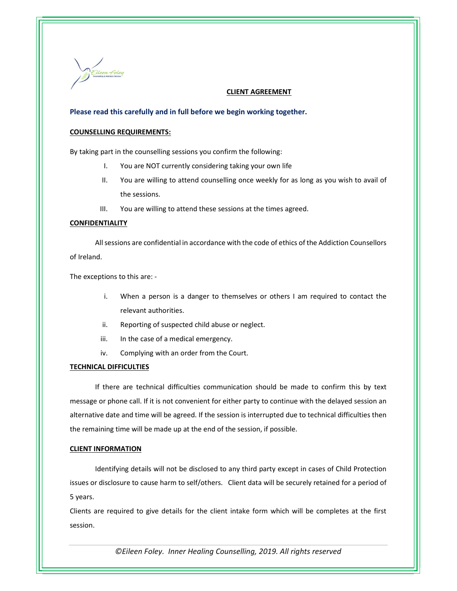

# CLIENT AGREEMENT

## Please read this carefully and in full before we begin working together.

## COUNSELLING REQUIREMENTS:

By taking part in the counselling sessions you confirm the following:

- I. You are NOT currently considering taking your own life
- II. You are willing to attend counselling once weekly for as long as you wish to avail of the sessions.
- III. You are willing to attend these sessions at the times agreed.

## CONFIDENTIALITY

All sessions are confidential in accordance with the code of ethics of the Addiction Counsellors of Ireland.

The exceptions to this are: -

- i. When a person is a danger to themselves or others I am required to contact the relevant authorities.
- ii. Reporting of suspected child abuse or neglect.
- iii. In the case of a medical emergency.
- iv. Complying with an order from the Court.

## TECHNICAL DIFFICULTIES

If there are technical difficulties communication should be made to confirm this by text message or phone call. If it is not convenient for either party to continue with the delayed session an alternative date and time will be agreed. If the session is interrupted due to technical difficulties then the remaining time will be made up at the end of the session, if possible.

## CLIENT INFORMATION

Identifying details will not be disclosed to any third party except in cases of Child Protection issues or disclosure to cause harm to self/others. Client data will be securely retained for a period of 5 years.

Clients are required to give details for the client intake form which will be completes at the first session.

©Eileen Foley. Inner Healing Counselling, 2019. All rights reserved